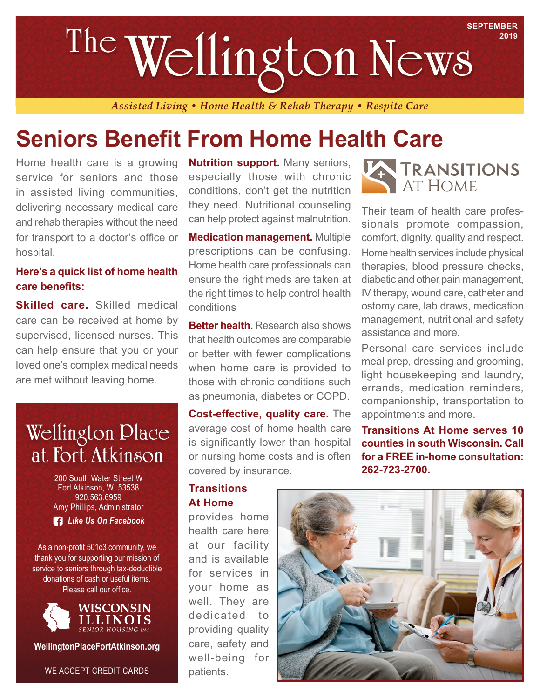# **SEPTEMBER Wellington News The**

*Assisted Living • Home Health & Rehab Therapy • Respite Care*

## **Seniors Benefit From Home Health Care**

Home health care is a growing service for seniors and those in assisted living communities, delivering necessary medical care and rehab therapies without the need for transport to a doctor's office or hospital.

### **Here's a quick list of home health care benefits:**

**Skilled care.** Skilled medical care can be received at home by supervised, licensed nurses. This can help ensure that you or your loved one's complex medical needs are met without leaving home.

## **Wellington Place** at Fort Atkinson

200 South Water Street W Fort Atkinson, WI 53538 920.563.6959 Amy Phillips, Administrator

*Like Us On Facebook*

As a non-profit 501c3 community, we thank you for supporting our mission of service to seniors through tax-deductible donations of cash or useful items. Please call our office.



**WellingtonPlaceFortAtkinson.org**

WE ACCEPT CREDIT CARDS

**Nutrition support.** Many seniors, especially those with chronic conditions, don't get the nutrition they need. Nutritional counseling can help protect against malnutrition.

**Medication management.** Multiple prescriptions can be confusing. Home health care professionals can ensure the right meds are taken at the right times to help control health conditions

**Better health.** Research also shows that health outcomes are comparable or better with fewer complications when home care is provided to those with chronic conditions such as pneumonia, diabetes or COPD.

**Cost-effective, quality care.** The average cost of home health care is significantly lower than hospital or nursing home costs and is often covered by insurance.

#### **Transitions At Home**

provides home health care here at our facility and is available for services in your home as well. They are dedicated to providing quality care, safety and well-being for patients.



**2019**

Their team of health care professionals promote compassion, comfort, dignity, quality and respect. Home health services include physical therapies, blood pressure checks, diabetic and other pain management, IV therapy, wound care, catheter and ostomy care, lab draws, medication management, nutritional and safety assistance and more.

Personal care services include meal prep, dressing and grooming, light housekeeping and laundry, errands, medication reminders, companionship, transportation to appointments and more.

**Transitions At Home serves 10 counties in south Wisconsin. Call for a FREE in-home consultation: 262-723-2700.**